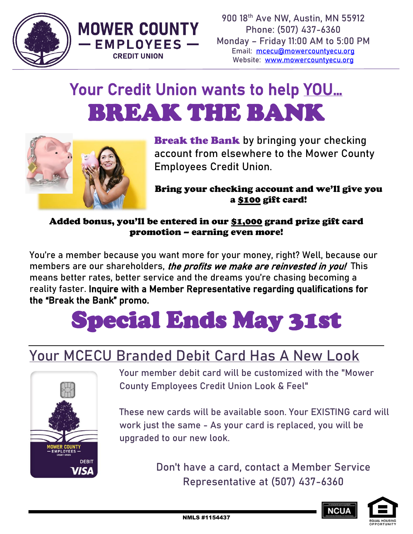



## Your Credit Union wants to help YOU... BREAK THE BANK



**Break the Bank** by bringing your checking account from elsewhere to the Mower County Employees Credit Union.

Bring your checking account and we'll give you a \$100 gift card!

Added bonus, you'll be entered in our \$1,000 grand prize gift card promotion – earning even more!

You're a member because you want more for your money, right? Well, because our members are our shareholders, the profits we make are reinvested in you! This means better rates, better service and the dreams you're chasing becoming a reality faster. Inquire with a Member Representative regarding qualifications for the "Break the Bank" promo.

# Special Ends May 31st

### **Your MCECU Branded Debit Card Has A New Look**



Your member debit card will be customized with the "Mower County Employees Credit Union Look & Feel"

These new cards will be available soon. Your EXISTING card will work just the same - As your card is replaced, you will be upgraded to our new look.

> **Don't have a card, contact a Member Service Representative at (507) 437-6360**